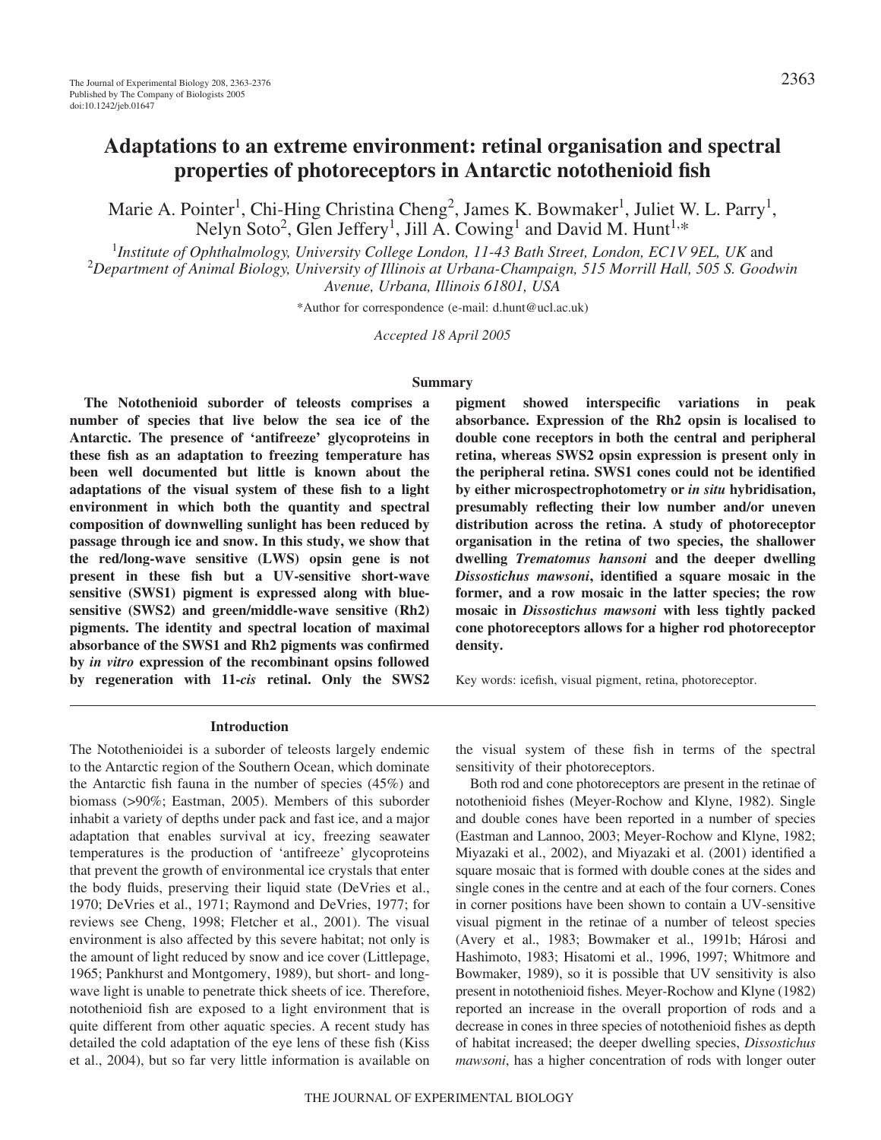# **Adaptations to an extreme environment: retinal organisation and spectral properties of photoreceptors in Antarctic notothenioid fish**

Marie A. Pointer<sup>1</sup>, Chi-Hing Christina Cheng<sup>2</sup>, James K. Bowmaker<sup>1</sup>, Juliet W. L. Parry<sup>1</sup>, Nelyn Soto<sup>2</sup>, Glen Jeffery<sup>1</sup>, Jill A. Cowing<sup>1</sup> and David M. Hunt<sup>1,\*</sup>

1 *Institute of Ophthalmology, University College London, 11-43 Bath Street, London, EC1V 9EL, UK* and 2 *Department of Animal Biology, University of Illinois at Urbana-Champaign, 515 Morrill Hall, 505 S. Goodwin Avenue, Urbana, Illinois 61801, USA*

\*Author for correspondence (e-mail: d.hunt@ucl.ac.uk)

*Accepted 18 April 2005*

#### **Summary**

**The Notothenioid suborder of teleosts comprises a number of species that live below the sea ice of the Antarctic. The presence of 'antifreeze' glycoproteins in these fish as an adaptation to freezing temperature has been well documented but little is known about the adaptations of the visual system of these fish to a light environment in which both the quantity and spectral composition of downwelling sunlight has been reduced by passage through ice and snow. In this study, we show that the red/long-wave sensitive (LWS) opsin gene is not present in these fish but a UV-sensitive short-wave sensitive (SWS1) pigment is expressed along with bluesensitive (SWS2) and green/middle-wave sensitive (Rh2) pigments. The identity and spectral location of maximal absorbance of the SWS1 and Rh2 pigments was confirmed by** *in vitro* **expression of the recombinant opsins followed by regeneration with 11-***cis* **retinal. Only the SWS2**

**pigment showed interspecific variations in peak absorbance. Expression of the Rh2 opsin is localised to double cone receptors in both the central and peripheral retina, whereas SWS2 opsin expression is present only in the peripheral retina. SWS1 cones could not be identified by either microspectrophotometry or** *in situ* **hybridisation, presumably reflecting their low number and/or uneven distribution across the retina. A study of photoreceptor organisation in the retina of two species, the shallower dwelling** *Trematomus hansoni* **and the deeper dwelling** *Dissostichus mawsoni***, identified a square mosaic in the former, and a row mosaic in the latter species; the row mosaic in** *Dissostichus mawsoni* **with less tightly packed cone photoreceptors allows for a higher rod photoreceptor density.**

Key words: icefish, visual pigment, retina, photoreceptor.

#### **Introduction**

The Notothenioidei is a suborder of teleosts largely endemic to the Antarctic region of the Southern Ocean, which dominate the Antarctic fish fauna in the number of species (45%) and biomass (>90%; Eastman, 2005). Members of this suborder inhabit a variety of depths under pack and fast ice, and a major adaptation that enables survival at icy, freezing seawater temperatures is the production of 'antifreeze' glycoproteins that prevent the growth of environmental ice crystals that enter the body fluids, preserving their liquid state (DeVries et al., 1970; DeVries et al., 1971; Raymond and DeVries, 1977; for reviews see Cheng, 1998; Fletcher et al., 2001). The visual environment is also affected by this severe habitat; not only is the amount of light reduced by snow and ice cover (Littlepage, 1965; Pankhurst and Montgomery, 1989), but short- and longwave light is unable to penetrate thick sheets of ice. Therefore, notothenioid fish are exposed to a light environment that is quite different from other aquatic species. A recent study has detailed the cold adaptation of the eye lens of these fish (Kiss et al., 2004), but so far very little information is available on

the visual system of these fish in terms of the spectral sensitivity of their photoreceptors.

Both rod and cone photoreceptors are present in the retinae of notothenioid fishes (Meyer-Rochow and Klyne, 1982). Single and double cones have been reported in a number of species (Eastman and Lannoo, 2003; Meyer-Rochow and Klyne, 1982; Miyazaki et al., 2002), and Miyazaki et al. (2001) identified a square mosaic that is formed with double cones at the sides and single cones in the centre and at each of the four corners. Cones in corner positions have been shown to contain a UV-sensitive visual pigment in the retinae of a number of teleost species (Avery et al., 1983; Bowmaker et al., 1991b; Hárosi and Hashimoto, 1983; Hisatomi et al., 1996, 1997; Whitmore and Bowmaker, 1989), so it is possible that UV sensitivity is also present in notothenioid fishes. Meyer-Rochow and Klyne (1982) reported an increase in the overall proportion of rods and a decrease in cones in three species of notothenioid fishes as depth of habitat increased; the deeper dwelling species, *Dissostichus mawsoni*, has a higher concentration of rods with longer outer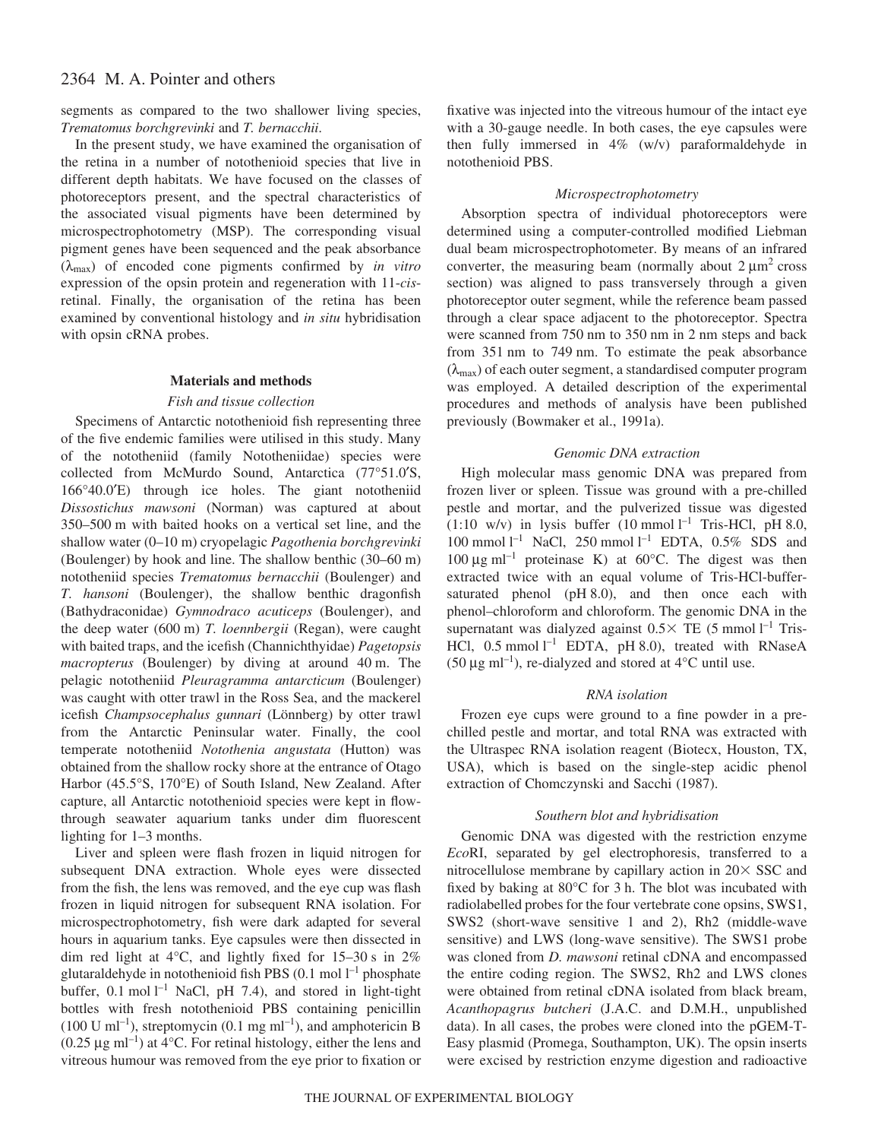segments as compared to the two shallower living species, *Trematomus borchgrevinki* and *T. bernacchii*.

In the present study, we have examined the organisation of the retina in a number of notothenioid species that live in different depth habitats. We have focused on the classes of photoreceptors present, and the spectral characteristics of the associated visual pigments have been determined by microspectrophotometry (MSP). The corresponding visual pigment genes have been sequenced and the peak absorbance (λmax) of encoded cone pigments confirmed by *in vitro* expression of the opsin protein and regeneration with 11-*cis*retinal. Finally, the organisation of the retina has been examined by conventional histology and *in situ* hybridisation with opsin cRNA probes.

# **Materials and methods**

#### *Fish and tissue collection*

Specimens of Antarctic notothenioid fish representing three of the five endemic families were utilised in this study. Many of the nototheniid (family Nototheniidae) species were collected from McMurdo Sound, Antarctica (77°51.0′S, 166°40.0′E) through ice holes. The giant nototheniid *Dissostichus mawsoni* (Norman) was captured at about 350–500 m with baited hooks on a vertical set line, and the shallow water (0–10·m) cryopelagic *Pagothenia borchgrevinki* (Boulenger) by hook and line. The shallow benthic (30–60 m) nototheniid species *Trematomus bernacchii* (Boulenger) and *T. hansoni* (Boulenger), the shallow benthic dragonfish (Bathydraconidae) *Gymnodraco acuticeps* (Boulenger), and the deep water (600 m) *T. loennbergii* (Regan), were caught with baited traps, and the icefish (Channichthyidae) *Pagetopsis macropterus* (Boulenger) by diving at around 40 m. The pelagic nototheniid *Pleuragramma antarcticum* (Boulenger) was caught with otter trawl in the Ross Sea, and the mackerel icefish *Champsocephalus gunnari* (Lönnberg) by otter trawl from the Antarctic Peninsular water. Finally, the cool temperate nototheniid *Notothenia angustata* (Hutton) was obtained from the shallow rocky shore at the entrance of Otago Harbor (45.5°S, 170°E) of South Island, New Zealand. After capture, all Antarctic notothenioid species were kept in flowthrough seawater aquarium tanks under dim fluorescent lighting for  $1-3$  months.

Liver and spleen were flash frozen in liquid nitrogen for subsequent DNA extraction. Whole eyes were dissected from the fish, the lens was removed, and the eye cup was flash frozen in liquid nitrogen for subsequent RNA isolation. For microspectrophotometry, fish were dark adapted for several hours in aquarium tanks. Eye capsules were then dissected in dim red light at  $4^{\circ}$ C, and lightly fixed for 15–30 s in 2% glutaraldehyde in notothenioid fish PBS  $(0.1 \text{ mol } l^{-1}$  phosphate buffer,  $0.1 \text{ mol } l^{-1}$  NaCl, pH 7.4), and stored in light-tight bottles with fresh notothenioid PBS containing penicillin (100 U ml<sup>-1</sup>), streptomycin (0.1 mg ml<sup>-1</sup>), and amphotericin B  $(0.25 \,\mu g \text{ ml}^{-1})$  at 4°C. For retinal histology, either the lens and vitreous humour was removed from the eye prior to fixation or

fixative was injected into the vitreous humour of the intact eye with a 30-gauge needle. In both cases, the eye capsules were then fully immersed in 4% (w/v) paraformaldehyde in notothenioid PBS.

### *Microspectrophotometry*

Absorption spectra of individual photoreceptors were determined using a computer-controlled modified Liebman dual beam microspectrophotometer. By means of an infrared converter, the measuring beam (normally about  $2 \mu m^2$  cross section) was aligned to pass transversely through a given photoreceptor outer segment, while the reference beam passed through a clear space adjacent to the photoreceptor. Spectra were scanned from 750 nm to 350 nm in 2 nm steps and back from 351 nm to 749 nm. To estimate the peak absorbance  $(\lambda_{\text{max}})$  of each outer segment, a standardised computer program was employed. A detailed description of the experimental procedures and methods of analysis have been published previously (Bowmaker et al., 1991a).

### *Genomic DNA extraction*

High molecular mass genomic DNA was prepared from frozen liver or spleen. Tissue was ground with a pre-chilled pestle and mortar, and the pulverized tissue was digested  $(1:10 \text{ w/v})$  in lysis buffer  $(10 \text{ mmol } l^{-1}$  Tris-HCl, pH 8.0, 100 mmol  $l^{-1}$  NaCl, 250 mmol  $l^{-1}$  EDTA, 0.5% SDS and 100  $\mu$ g ml<sup>-1</sup> proteinase K) at 60°C. The digest was then extracted twice with an equal volume of Tris-HCl-buffersaturated phenol (pH 8.0), and then once each with phenol–chloroform and chloroform. The genomic DNA in the supernatant was dialyzed against  $0.5 \times$  TE (5 mmol  $l^{-1}$  Tris-HCl,  $0.5$  mmol  $l^{-1}$  EDTA, pH 8.0), treated with RNaseA (50  $\mu$ g ml<sup>-1</sup>), re-dialyzed and stored at 4°C until use.

#### *RNA isolation*

Frozen eye cups were ground to a fine powder in a prechilled pestle and mortar, and total RNA was extracted with the Ultraspec RNA isolation reagent (Biotecx, Houston, TX, USA), which is based on the single-step acidic phenol extraction of Chomczynski and Sacchi (1987).

#### *Southern blot and hybridisation*

Genomic DNA was digested with the restriction enzyme *Eco*RI, separated by gel electrophoresis, transferred to a nitrocellulose membrane by capillary action in  $20 \times$  SSC and fixed by baking at  $80^{\circ}$ C for 3 h. The blot was incubated with radiolabelled probes for the four vertebrate cone opsins, SWS1, SWS2 (short-wave sensitive 1 and 2), Rh2 (middle-wave sensitive) and LWS (long-wave sensitive). The SWS1 probe was cloned from *D. mawsoni* retinal cDNA and encompassed the entire coding region. The SWS2, Rh2 and LWS clones were obtained from retinal cDNA isolated from black bream, *Acanthopagrus butcheri* (J.A.C. and D.M.H., unpublished data). In all cases, the probes were cloned into the pGEM-T-Easy plasmid (Promega, Southampton, UK). The opsin inserts were excised by restriction enzyme digestion and radioactive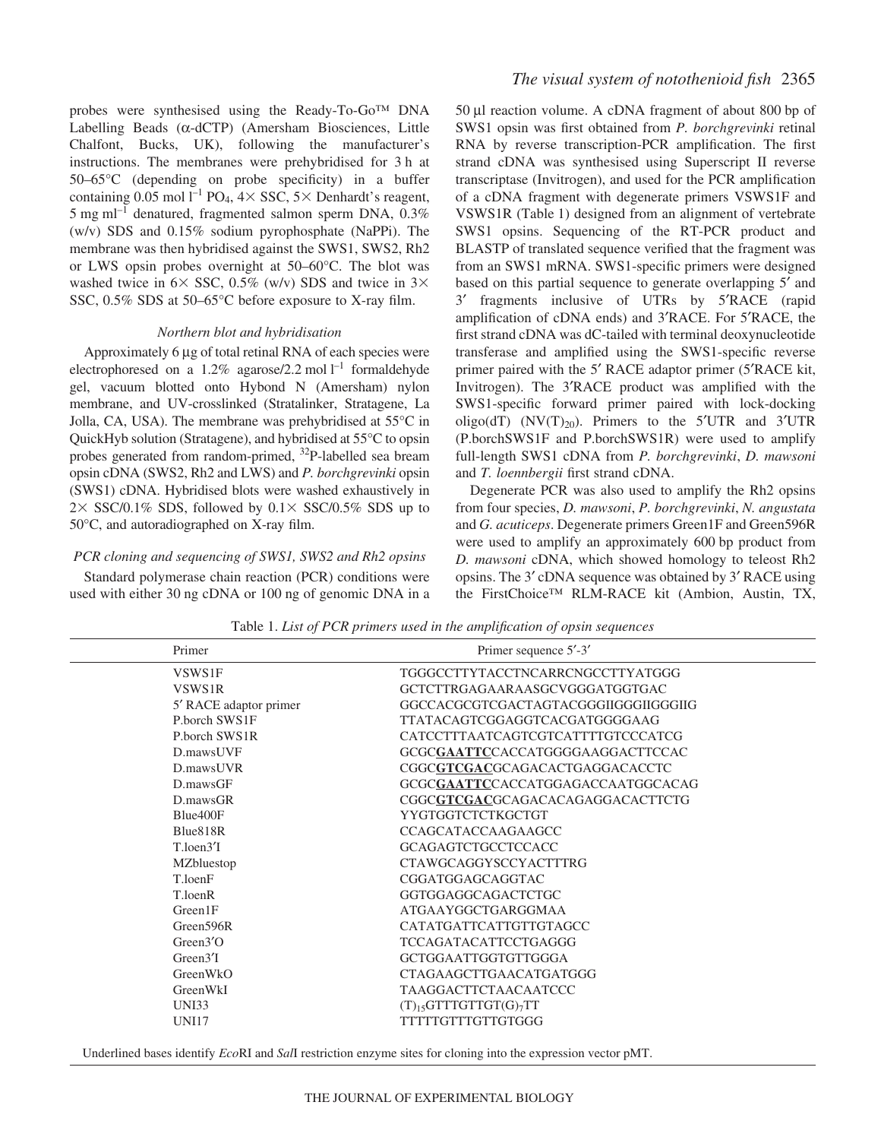probes were synthesised using the Ready-To-Go™ DNA Labelling Beads (α-dCTP) (Amersham Biosciences, Little Chalfont, Bucks, UK), following the manufacturer's instructions. The membranes were prehybridised for 3 h at 50–65°C (depending on probe specificity) in a buffer containing 0.05 mol  $l^{-1}$  PO<sub>4</sub>,  $4 \times$  SSC,  $5 \times$  Denhardt's reagent, 5 mg ml<sup>-1</sup> denatured, fragmented salmon sperm DNA,  $0.3\%$ (w/v) SDS and 0.15% sodium pyrophosphate (NaPPi). The membrane was then hybridised against the SWS1, SWS2, Rh2 or LWS opsin probes overnight at 50–60°C. The blot was washed twice in  $6 \times$  SSC, 0.5% (w/v) SDS and twice in 3 $\times$ SSC, 0.5% SDS at 50–65°C before exposure to X-ray film.

# *Northern blot and hybridisation*

Approximately 6 µg of total retinal RNA of each species were electrophoresed on a 1.2% agarose/2.2 mol  $l^{-1}$  formaldehyde gel, vacuum blotted onto Hybond N (Amersham) nylon membrane, and UV-crosslinked (Stratalinker, Stratagene, La Jolla, CA, USA). The membrane was prehybridised at 55°C in QuickHyb solution (Stratagene), and hybridised at 55°C to opsin probes generated from random-primed, <sup>32</sup>P-labelled sea bream opsin cDNA (SWS2, Rh2 and LWS) and *P. borchgrevinki* opsin (SWS1) cDNA. Hybridised blots were washed exhaustively in  $2 \times$  SSC/0.1% SDS, followed by 0.1 $\times$  SSC/0.5% SDS up to 50°C, and autoradiographed on X-ray film.

#### *PCR cloning and sequencing of SWS1, SWS2 and Rh2 opsins*

Standard polymerase chain reaction (PCR) conditions were used with either 30 ng cDNA or 100 ng of genomic DNA in a 50 µl reaction volume. A cDNA fragment of about 800 bp of SWS1 opsin was first obtained from *P. borchgrevinki* retinal RNA by reverse transcription-PCR amplification. The first strand cDNA was synthesised using Superscript II reverse transcriptase (Invitrogen), and used for the PCR amplification of a cDNA fragment with degenerate primers VSWS1F and VSWS1R (Table 1) designed from an alignment of vertebrate SWS1 opsins. Sequencing of the RT-PCR product and BLASTP of translated sequence verified that the fragment was from an SWS1 mRNA. SWS1-specific primers were designed based on this partial sequence to generate overlapping 5′ and 3′ fragments inclusive of UTRs by 5′RACE (rapid amplification of cDNA ends) and 3′RACE. For 5′RACE, the first strand cDNA was dC-tailed with terminal deoxynucleotide transferase and amplified using the SWS1-specific reverse primer paired with the 5′ RACE adaptor primer (5′RACE kit, Invitrogen). The 3′RACE product was amplified with the SWS1-specific forward primer paired with lock-docking oligo(dT) (NV(T)<sub>20</sub>). Primers to the 5<sup>'</sup>UTR and 3<sup>'</sup>UTR (P.borchSWS1F and P.borchSWS1R) were used to amplify full-length SWS1 cDNA from *P. borchgrevinki*, *D. mawsoni* and *T. loennbergii* first strand cDNA.

Degenerate PCR was also used to amplify the Rh2 opsins from four species, *D. mawsoni*, *P. borchgrevinki*, *N. angustata* and *G. acuticeps*. Degenerate primers Green1F and Green596R were used to amplify an approximately 600 bp product from *D. mawsoni* cDNA, which showed homology to teleost Rh2 opsins. The 3′ cDNA sequence was obtained by 3′ RACE using the FirstChoice™ RLM-RACE kit (Ambion, Austin, TX,

| Primer                          | Primer sequence 5'-3'                            |
|---------------------------------|--------------------------------------------------|
| VSWS1F                          | TGGGCCTTYTACCTNCARRCNGCCTTYATGGG                 |
| VSWS1R                          | GCTCTTRGAGAARAASGCVGGGATGGTGAC                   |
| 5' RACE adaptor primer          | GGCCACGCGTCGACTAGTACGGGIIGGGIIGGGIIG             |
| P.borch SWS1F                   | TTATACAGTCGGAGGTCACGATGGGGAAG                    |
| P.borch SWS1R                   | CATCCTTTAATCAGTCGTCATTTTGTCCCATCG                |
| D.mawsUVF                       | GCGCGAATTCCACCATGGGGAAGGACTTCCAC                 |
| D.mawsUVR                       | CGGCGTCGACGCAGACACTGAGGACACCTC                   |
| $D$ .maws $GF$                  | GCGCGAATTCCACCATGGAGACCAATGGCACAG                |
| $D$ .maws $GR$                  | CGGCGTCGACGCAGACACAGAGGACACTTCTG                 |
| Blue400F                        | YYGTGGTCTCTKGCTGT                                |
| Blue818R                        | CCAGCATACCAAGAAGCC                               |
| $T_{\cdot}$ loen $3'$ I         | <b>GCAGAGTCTGCCTCCACC</b>                        |
| MZbluestop                      | <b>CTAWGCAGGYSCCYACTTTRG</b>                     |
| T.loenF                         | CGGATGGAGCAGGTAC                                 |
| T.loenR                         | GGTGGAGGCAGACTCTGC                               |
| Green1F                         | ATGAAYGGCTGARGGMAA                               |
| Green <sub>596R</sub>           | CATATGATTCATTGTTGTAGCC                           |
| Green $3'$ O                    | <b>TCCAGATACATTCCTGAGGG</b>                      |
| Green <sup>3</sup> <sup>T</sup> | GCTGGAATTGGTGTTGGGA                              |
| GreenWkO                        | <b>CTAGAAGCTTGAACATGATGGG</b>                    |
| GreenWkI                        | TAAGGACTTCTAACAATCCC                             |
| <b>UNI33</b>                    | $(T)$ <sub>15</sub> GTTTGTTGT(G) <sub>7</sub> TT |
| <b>UNI17</b>                    | TTTTTGTTTGTTGTGGG                                |
|                                 |                                                  |

Table 1. *List of PCR primers used in the amplification of opsin sequences* 

Underlined bases identify *Eco*RI and *Sal*I restriction enzyme sites for cloning into the expression vector pMT.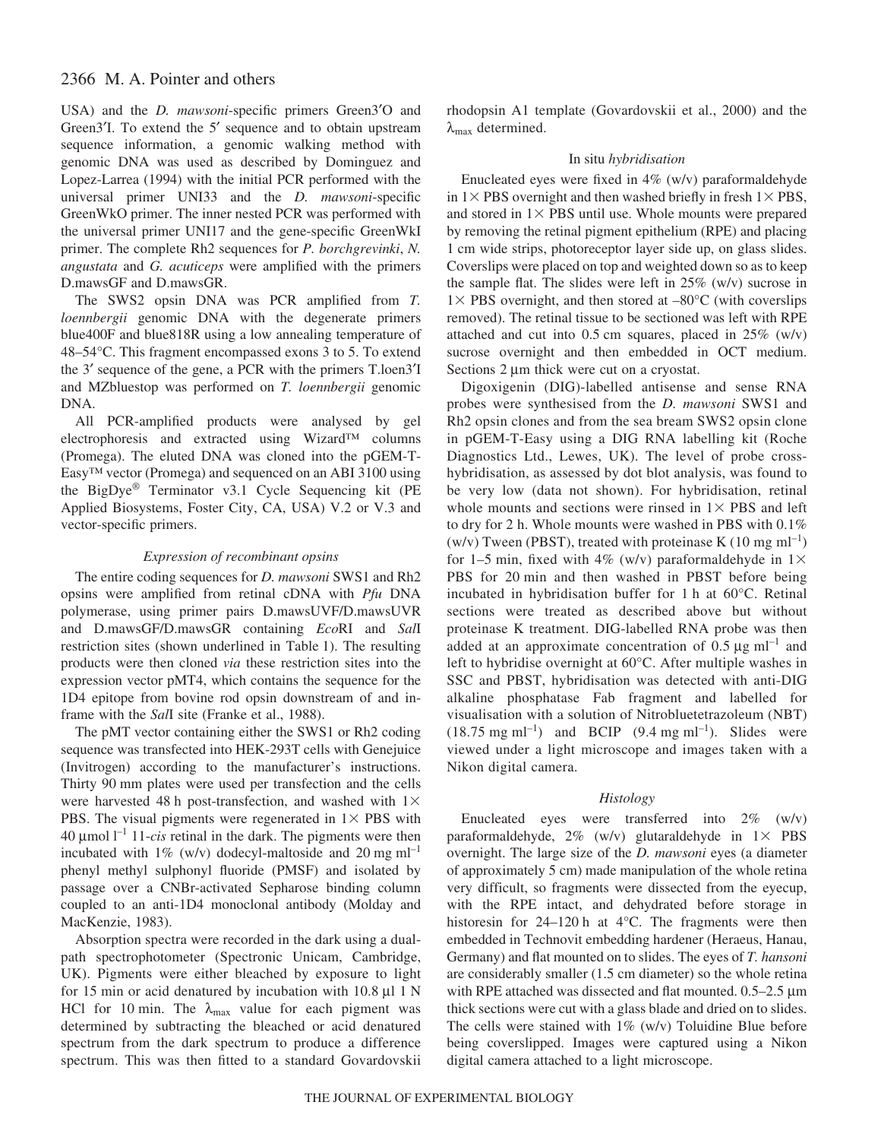USA) and the *D. mawsoni*-specific primers Green3′O and Green3′I. To extend the 5′ sequence and to obtain upstream sequence information, a genomic walking method with genomic DNA was used as described by Dominguez and Lopez-Larrea (1994) with the initial PCR performed with the universal primer UNI33 and the *D. mawsoni*-specific GreenWkO primer. The inner nested PCR was performed with the universal primer UNI17 and the gene-specific GreenWkI primer. The complete Rh2 sequences for *P. borchgrevinki*, *N. angustata* and *G. acuticeps* were amplified with the primers D.mawsGF and D.mawsGR.

The SWS2 opsin DNA was PCR amplified from *T. loennbergii* genomic DNA with the degenerate primers blue400F and blue818R using a low annealing temperature of 48–54°C. This fragment encompassed exons 3 to 5. To extend the 3′ sequence of the gene, a PCR with the primers T.loen3′I and MZbluestop was performed on *T. loennbergii* genomic DNA.

All PCR-amplified products were analysed by gel electrophoresis and extracted using Wizard™ columns (Promega). The eluted DNA was cloned into the pGEM-T-Easy™ vector (Promega) and sequenced on an ABI 3100 using the BigDye® Terminator v3.1 Cycle Sequencing kit (PE Applied Biosystems, Foster City, CA, USA) V.2 or V.3 and vector-specific primers.

# *Expression of recombinant opsins*

The entire coding sequences for *D. mawsoni* SWS1 and Rh2 opsins were amplified from retinal cDNA with *Pfu* DNA polymerase, using primer pairs D.mawsUVF/D.mawsUVR and D.mawsGF/D.mawsGR containing *Eco*RI and *Sal*I restriction sites (shown underlined in Table 1). The resulting products were then cloned *via* these restriction sites into the expression vector pMT4, which contains the sequence for the 1D4 epitope from bovine rod opsin downstream of and inframe with the *Sal*I site (Franke et al., 1988).

The pMT vector containing either the SWS1 or Rh2 coding sequence was transfected into HEK-293T cells with Genejuice (Invitrogen) according to the manufacturer's instructions. Thirty 90 mm plates were used per transfection and the cells were harvested 48 h post-transfection, and washed with  $1\times$ PBS. The visual pigments were regenerated in  $1 \times PBS$  with  $40 \mu$ mol<sup> $1^{-1}$ </sup> 11-*cis* retinal in the dark. The pigments were then incubated with  $1\%$  (w/v) dodecyl-maltoside and 20 mg ml<sup>-1</sup> phenyl methyl sulphonyl fluoride (PMSF) and isolated by passage over a CNBr-activated Sepharose binding column coupled to an anti-1D4 monoclonal antibody (Molday and MacKenzie, 1983).

Absorption spectra were recorded in the dark using a dualpath spectrophotometer (Spectronic Unicam, Cambridge, UK). Pigments were either bleached by exposure to light for 15 min or acid denatured by incubation with 10.8  $\mu$ 1 1 N HCl for 10 min. The  $\lambda_{\text{max}}$  value for each pigment was determined by subtracting the bleached or acid denatured spectrum from the dark spectrum to produce a difference spectrum. This was then fitted to a standard Govardovskii

rhodopsin A1 template (Govardovskii et al., 2000) and the  $\lambda_{\text{max}}$  determined.

# In situ *hybridisation*

Enucleated eyes were fixed in 4% (w/v) paraformaldehyde in  $1 \times$  PBS overnight and then washed briefly in fresh  $1 \times$  PBS, and stored in  $1 \times PBS$  until use. Whole mounts were prepared by removing the retinal pigment epithelium (RPE) and placing 1 cm wide strips, photoreceptor layer side up, on glass slides. Coverslips were placed on top and weighted down so as to keep the sample flat. The slides were left in 25% (w/v) sucrose in  $1 \times$  PBS overnight, and then stored at  $-80^{\circ}$ C (with coverslips removed). The retinal tissue to be sectioned was left with RPE attached and cut into  $0.5$  cm squares, placed in  $25\%$  (w/v) sucrose overnight and then embedded in OCT medium. Sections  $2 \mu m$  thick were cut on a cryostat.

Digoxigenin (DIG)-labelled antisense and sense RNA probes were synthesised from the *D. mawsoni* SWS1 and Rh2 opsin clones and from the sea bream SWS2 opsin clone in pGEM-T-Easy using a DIG RNA labelling kit (Roche Diagnostics Ltd., Lewes, UK). The level of probe crosshybridisation, as assessed by dot blot analysis, was found to be very low (data not shown). For hybridisation, retinal whole mounts and sections were rinsed in  $1 \times PBS$  and left to dry for 2 h. Whole mounts were washed in PBS with  $0.1\%$ (w/v) Tween (PBST), treated with proteinase K (10 mg ml<sup>-1</sup>) for 1–5 min, fixed with 4% (w/v) paraformaldehyde in  $1\times$ PBS for 20 min and then washed in PBST before being incubated in hybridisation buffer for 1 h at  $60^{\circ}$ C. Retinal sections were treated as described above but without proteinase K treatment. DIG-labelled RNA probe was then added at an approximate concentration of  $0.5 \mu g$  ml<sup>-1</sup> and left to hybridise overnight at 60°C. After multiple washes in SSC and PBST, hybridisation was detected with anti-DIG alkaline phosphatase Fab fragment and labelled for visualisation with a solution of Nitrobluetetrazoleum (NBT)  $(18.75 \text{ mg ml}^{-1})$  and BCIP  $(9.4 \text{ mg ml}^{-1})$ . Slides were viewed under a light microscope and images taken with a Nikon digital camera.

# *Histology*

Enucleated eyes were transferred into 2% (w/v) paraformaldehyde,  $2\%$  (w/v) glutaraldehyde in  $1\times$  PBS overnight. The large size of the *D. mawsoni* eyes (a diameter of approximately 5 cm) made manipulation of the whole retina very difficult, so fragments were dissected from the eyecup, with the RPE intact, and dehydrated before storage in historesin for  $24-120$  h at  $4^{\circ}$ C. The fragments were then embedded in Technovit embedding hardener (Heraeus, Hanau, Germany) and flat mounted on to slides. The eyes of *T. hansoni* are considerably smaller  $(1.5 \text{ cm diameter})$  so the whole retina with RPE attached was dissected and flat mounted.  $0.5-2.5 \mu m$ thick sections were cut with a glass blade and dried on to slides. The cells were stained with  $1\%$  (w/v) Toluidine Blue before being coverslipped. Images were captured using a Nikon digital camera attached to a light microscope.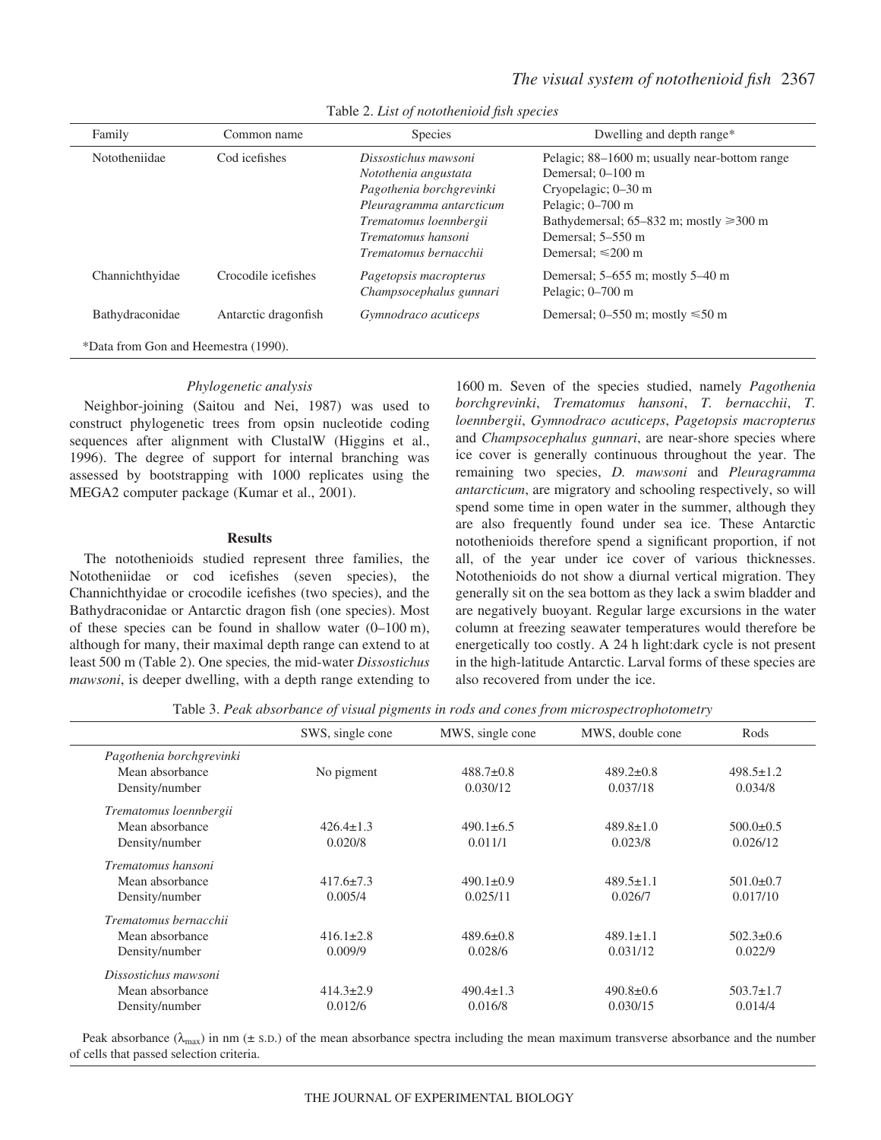| Family                               | Common name          | <b>Species</b>                                                                                                                                                                | Dwelling and depth range*                                                                                                                                                                                        |  |  |  |
|--------------------------------------|----------------------|-------------------------------------------------------------------------------------------------------------------------------------------------------------------------------|------------------------------------------------------------------------------------------------------------------------------------------------------------------------------------------------------------------|--|--|--|
| Nototheniidae                        | Cod icefishes        | Dissostichus mawsoni<br>Notothenia angustata<br>Pagothenia borchgrevinki<br>Pleuragramma antarcticum<br>Trematomus loennbergii<br>Trematomus hansoni<br>Trematomus bernacchii | Pelagic; 88–1600 m; usually near-bottom range<br>Demersal; 0–100 m<br>Cryopelagic; 0–30 m<br>Pelagic; $0-700$ m<br>Bathydemersal; $65-832$ m; mostly $\geq 300$ m<br>Demersal; 5–550 m<br>Demersal: $\leq 200$ m |  |  |  |
| Channichthyidae                      | Crocodile icefishes  | Pagetopsis macropterus<br>Champsocephalus gunnari                                                                                                                             | Demersal; $5-655$ m; mostly $5-40$ m<br>Pelagic; $0-700$ m                                                                                                                                                       |  |  |  |
| Bathydraconidae                      | Antarctic dragonfish | Gymnodraco acuticeps                                                                                                                                                          | Demersal; $0-550$ m; mostly $\le 50$ m                                                                                                                                                                           |  |  |  |
| *Data from Gon and Heemestra (1990). |                      |                                                                                                                                                                               |                                                                                                                                                                                                                  |  |  |  |

Table 2. *List of notothenioid fish species* 

### *Phylogenetic analysis*

Neighbor-joining (Saitou and Nei, 1987) was used to construct phylogenetic trees from opsin nucleotide coding sequences after alignment with ClustalW (Higgins et al., 1996). The degree of support for internal branching was assessed by bootstrapping with 1000 replicates using the MEGA2 computer package (Kumar et al., 2001).

#### **Results**

The notothenioids studied represent three families, the Nototheniidae or cod icefishes (seven species), the Channichthyidae or crocodile icefishes (two species), and the Bathydraconidae or Antarctic dragon fish (one species). Most of these species can be found in shallow water  $(0-100 \text{ m})$ , although for many, their maximal depth range can extend to at least 500 m (Table 2). One species, the mid-water *Dissostichus mawsoni*, is deeper dwelling, with a depth range extending to

1600 m. Seven of the species studied, namely *Pagothenia borchgrevinki*, *Trematomus hansoni*, *T. bernacchii*, *T. loennbergii*, *Gymnodraco acuticeps*, *Pagetopsis macropterus* and *Champsocephalus gunnari*, are near-shore species where ice cover is generally continuous throughout the year. The remaining two species, *D. mawsoni* and *Pleuragramma antarcticum*, are migratory and schooling respectively, so will spend some time in open water in the summer, although they are also frequently found under sea ice. These Antarctic notothenioids therefore spend a significant proportion, if not all, of the year under ice cover of various thicknesses. Notothenioids do not show a diurnal vertical migration. They generally sit on the sea bottom as they lack a swim bladder and are negatively buoyant. Regular large excursions in the water column at freezing seawater temperatures would therefore be energetically too costly. A 24 h light:dark cycle is not present in the high-latitude Antarctic. Larval forms of these species are also recovered from under the ice.

Table 3. Peak absorbance of visual pigments in rods and cones from microspectrophotometry

|                          | SWS, single cone | MWS, single cone | MWS, double cone | Rods            |
|--------------------------|------------------|------------------|------------------|-----------------|
| Pagothenia borchgrevinki |                  |                  |                  |                 |
| Mean absorbance          | No pigment       | $488.7\pm0.8$    | $489.2 \pm 0.8$  | $498.5 \pm 1.2$ |
| Density/number           |                  | 0.030/12         | 0.037/18         | 0.034/8         |
| Trematomus loennbergii   |                  |                  |                  |                 |
| Mean absorbance          | $426.4 \pm 1.3$  | $490.1 \pm 6.5$  | $489.8 \pm 1.0$  | $500.0 \pm 0.5$ |
| Density/number           | 0.020/8          | 0.011/1          | 0.023/8          | 0.026/12        |
| Trematomus hansoni       |                  |                  |                  |                 |
| Mean absorbance          | $417.6 \pm 7.3$  | $490.1 \pm 0.9$  | $489.5 \pm 1.1$  | $501.0 \pm 0.7$ |
| Density/number           | 0.005/4          | 0.025/11         | 0.026/7          | 0.017/10        |
| Trematomus bernacchii    |                  |                  |                  |                 |
| Mean absorbance          | $416.1 \pm 2.8$  | $489.6 \pm 0.8$  | $489.1 \pm 1.1$  | $502.3 \pm 0.6$ |
| Density/number           | 0.009/9          | 0.028/6          | 0.031/12         | 0.022/9         |
| Dissostichus mawsoni     |                  |                  |                  |                 |
| Mean absorbance          | $414.3 \pm 2.9$  | $490.4 \pm 1.3$  | $490.8 \pm 0.6$  | $503.7 \pm 1.7$ |
| Density/number           | 0.012/6          | 0.016/8          | 0.030/15         | 0.014/4         |

Peak absorbance ( $\lambda_{\text{max}}$ ) in nm ( $\pm$  s.d.) of the mean absorbance spectra including the mean maximum transverse absorbance and the number of cells that passed selection criteria.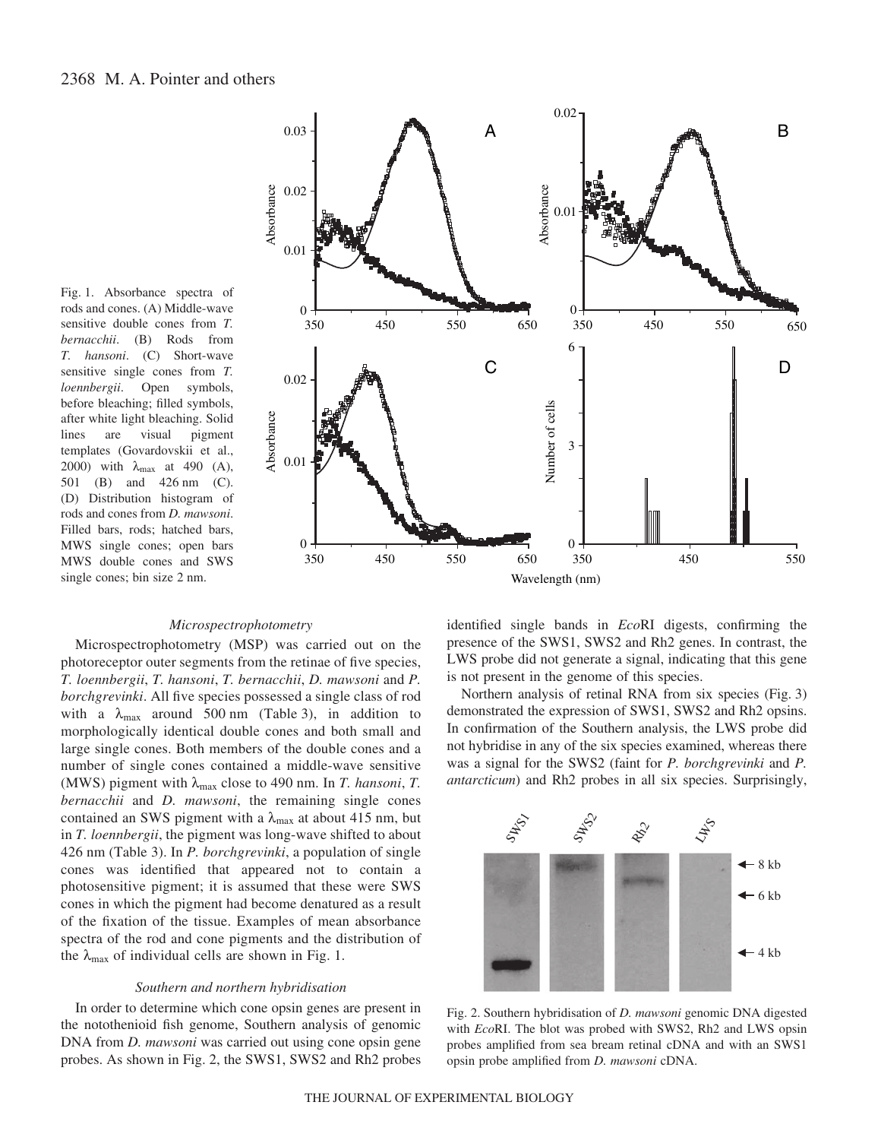Fig. 1. Absorbance spectra of rods and cones. (A) Middle-wave sensitive double cones from *T. bernacchii*. (B) Rods from *T. hansoni*. (C) Short-wave sensitive single cones from *T. loennbergii*. Open symbols, before bleaching; filled symbols, after white light bleaching. Solid lines are visual pigment templates (Govardovskii et al., 2000) with  $\lambda_{\text{max}}$  at 490 (A), 501 (B) and 426 nm (C). (D) Distribution histogram of rods and cones from *D. mawsoni*. Filled bars, rods; hatched bars, MWS single cones; open bars MWS double cones and SWS single cones; bin size 2 nm.



## *Microspectrophotometry*

Microspectrophotometry (MSP) was carried out on the photoreceptor outer segments from the retinae of five species, *T. loennbergii*, *T. hansoni*, *T. bernacchii*, *D. mawsoni* and *P. borchgrevinki*. All five species possessed a single class of rod with a  $\lambda_{\text{max}}$  around 500 nm (Table 3), in addition to morphologically identical double cones and both small and large single cones. Both members of the double cones and a number of single cones contained a middle-wave sensitive (MWS) pigment with  $\lambda_{\text{max}}$  close to 490 nm. In *T. hansoni*, *T. bernacchii* and *D. mawsoni*, the remaining single cones contained an SWS pigment with a  $\lambda_{\text{max}}$  at about 415 nm, but in *T. loennbergii*, the pigment was long-wave shifted to about 426 nm (Table 3). In *P. borchgrevinki*, a population of single cones was identified that appeared not to contain a photosensitive pigment; it is assumed that these were SWS cones in which the pigment had become denatured as a result of the fixation of the tissue. Examples of mean absorbance spectra of the rod and cone pigments and the distribution of the  $\lambda_{\text{max}}$  of individual cells are shown in Fig. 1.

# *Southern and northern hybridisation*

In order to determine which cone opsin genes are present in the notothenioid fish genome, Southern analysis of genomic DNA from *D. mawsoni* was carried out using cone opsin gene probes. As shown in Fig. 2, the SWS1, SWS2 and Rh2 probes identified single bands in *Eco*RI digests, confirming the presence of the SWS1, SWS2 and Rh2 genes. In contrast, the LWS probe did not generate a signal, indicating that this gene is not present in the genome of this species.

Northern analysis of retinal RNA from six species (Fig. 3) demonstrated the expression of SWS1, SWS2 and Rh2 opsins. In confirmation of the Southern analysis, the LWS probe did not hybridise in any of the six species examined, whereas there was a signal for the SWS2 (faint for *P. borchgrevinki* and *P. antarcticum*) and Rh2 probes in all six species. Surprisingly,



Fig. 2. Southern hybridisation of *D. mawsoni* genomic DNA digested with *Eco*RI. The blot was probed with SWS2, Rh2 and LWS opsin probes amplified from sea bream retinal cDNA and with an SWS1 opsin probe amplified from *D. mawsoni* cDNA.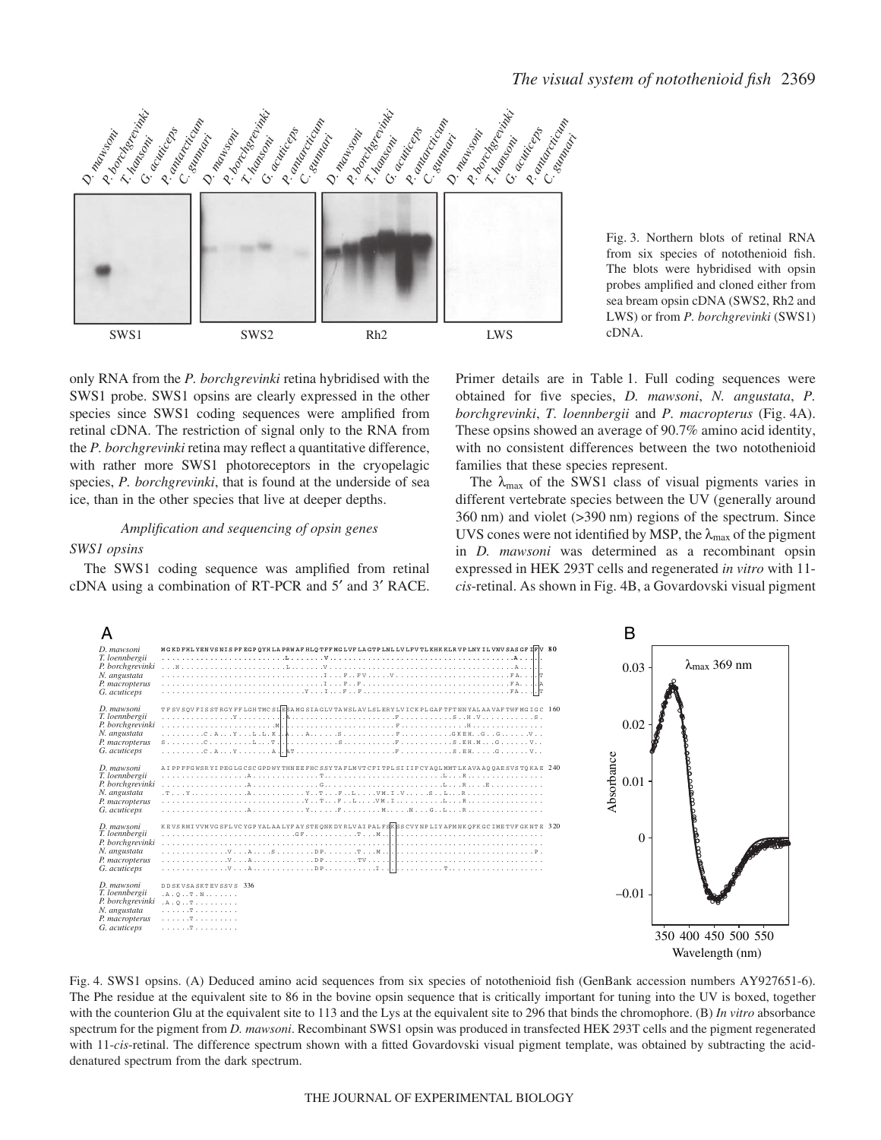

Fig. 3. Northern blots of retinal RNA from six species of notothenioid fish. The blots were hybridised with opsin probes amplified and cloned either from sea bream opsin cDNA (SWS2, Rh2 and LWS) or from *P. borchgrevinki* (SWS1) cDNA.

only RNA from the *P. borchgrevinki* retina hybridised with the SWS1 probe. SWS1 opsins are clearly expressed in the other species since SWS1 coding sequences were amplified from retinal cDNA. The restriction of signal only to the RNA from the *P. borchgrevinki* retina may reflect a quantitative difference, with rather more SWS1 photoreceptors in the cryopelagic species, *P. borchgrevinki*, that is found at the underside of sea ice, than in the other species that live at deeper depths.

# *Amplification and sequencing of opsin genes*

# *SWS1 opsins*

The SWS1 coding sequence was amplified from retinal cDNA using a combination of RT-PCR and 5′ and 3′ RACE. Primer details are in Table 1. Full coding sequences were obtained for five species, *D. mawsoni*, *N. angustata*, *P. borchgrevinki, T. loennbergii* and *P. macropterus* (Fig. 4A). These opsins showed an average of 90.7% amino acid identity, with no consistent differences between the two notothenioid families that these species represent.

The  $\lambda_{\text{max}}$  of the SWS1 class of visual pigments varies in different vertebrate species between the UV (generally around  $360$  nm) and violet ( $>390$  nm) regions of the spectrum. Since UVS cones were not identified by MSP, the  $\lambda_{\text{max}}$  of the pigment in *D. mawsoni* was determined as a recombinant opsin expressed in HEK 293T cells and regenerated *in vitro* with 11 cis-retinal. As shown in Fig. 4B, a Govardovski visual pigment



Fig. 4. SWS1 opsins. (A) Deduced amino acid sequences from six species of notothenioid fish (GenBank accession numbers AY927651-6). The Phe residue at the equivalent site to 86 in the bovine opsin sequence that is critically important for tuning into the UV is boxed, together with the counterion Glu at the equivalent site to 113 and the Lys at the equivalent site to 296 that binds the chromophore. (B) *In vitro* absorbance spectrum for the pigment from *D. mawsoni*. Recombinant SWS1 opsin was produced in transfected HEK 293T cells and the pigment regenerated with 11-*cis*-retinal. The difference spectrum shown with a fitted Govardovski visual pigment template, was obtained by subtracting the aciddenatured spectrum from the dark spectrum.

#### THE JOURNAL OF EXPERIMENTAL BIOLOGY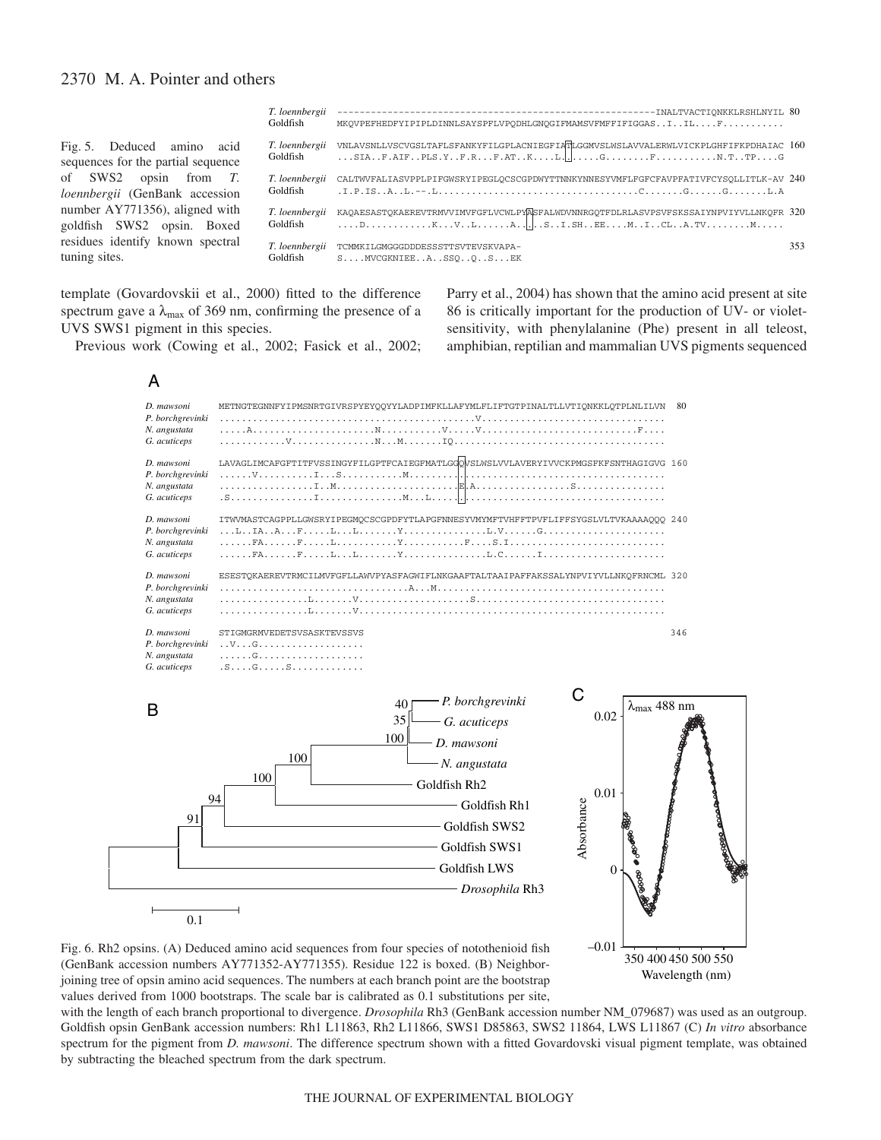Fig. 5. Deduced amino acid sequences for the partial sequence of SWS2 opsin from *T. loennbergii* (GenBank accession number AY771356), aligned with goldfish SWS2 opsin. Boxed residues identify known spectral tuning sites.

| Goldfish                   | MKOVPEFHEDFYIPIPLDINNLSAYSPFLVPODHLGNOGIFMAMSVFMFFIFIGGASIILF                                                                                                                                                                                                                                                                                                                                                                      |     |
|----------------------------|------------------------------------------------------------------------------------------------------------------------------------------------------------------------------------------------------------------------------------------------------------------------------------------------------------------------------------------------------------------------------------------------------------------------------------|-----|
| Goldfish                   | T. loennbergii vNLAVSNLLVSCVGSLTAFLSFANKYFILGPLACNIEGFIATLGGMVSLWSLAVVALERWLVICKPLGHFIFKPDHAIAC 160                                                                                                                                                                                                                                                                                                                                |     |
| T. loennbergii<br>Goldfish | CALTWVFALIASVPPLPIFGWSRYIPEGLOCSCGPDWYTTNNKYNNESYVMFLFGFCFAVPFATIVFCYSOLLITLK-AV 240                                                                                                                                                                                                                                                                                                                                               |     |
| T. loennbergii<br>Goldfish | KAOAESASTOKAEREVTRMVVIMVFGFLVCWLPYASFALWDVNNRGOTFDLRLASVPSVFSKSSAIYNPVIYVLLNKOFR 320<br>$\ldots$ . D. $\ldots$ . $\ldots$ $\ldots$ $\ldots$ $\ldots$ $\ldots$ $\ldots$ $\ldots$ $\ldots$ $\ldots$ $\ldots$ $\ldots$ $\ldots$ $\ldots$ $\ldots$ $\ldots$ $\ldots$ $\ldots$ $\ldots$ $\ldots$ $\ldots$ $\ldots$ $\ldots$ $\ldots$ $\ldots$ $\ldots$ $\ldots$ $\ldots$ $\ldots$ $\ldots$ $\ldots$ $\ldots$ $\ldots$ $\ldots$ $\ldots$ |     |
| T. loennbergii<br>Goldfish | TCMMKILGMGGGDDDESSSTTSVTEVSKVAPA-<br>$S$ $MVCGKNIEE$ $A$ $SO$ $O$ $S$ $EK$                                                                                                                                                                                                                                                                                                                                                         | 353 |

Parry et al., 2004) has shown that the amino acid present at site 86 is critically important for the production of UV- or violetsensitivity, with phenylalanine (Phe) present in all teleost, amphibian, reptilian and mammalian UVS pigments sequenced

–0.01

350 400 450 500 550 Wavelength (nm)

template (Govardovskii et al., 2000) fitted to the difference spectrum gave a  $\lambda_{\text{max}}$  of 369 nm, confirming the presence of a UVS SWS1 pigment in this species.

Previous work (Cowing et al., 2002; Fasick et al., 2002;

A



Fig. 6. Rh2 opsins. (A) Deduced amino acid sequences from four species of notothenioid fish (GenBank accession numbers AY771352-AY771355). Residue 122 is boxed. (B) Neighborjoining tree of opsin amino acid sequences. The numbers at each branch point are the bootstrap values derived from 1000 bootstraps. The scale bar is calibrated as 0.1 substitutions per site,

with the length of each branch proportional to divergence. *Drosophila* Rh3 (GenBank accession number NM\_079687) was used as an outgroup. Goldfish opsin GenBank accession numbers: Rh1 L11863, Rh2 L11866, SWS1 D85863, SWS2 11864, LWS L11867 (C) *In vitro* absorbance spectrum for the pigment from *D. mawsoni*. The difference spectrum shown with a fitted Govardovski visual pigment template, was obtained by subtracting the bleached spectrum from the dark spectrum.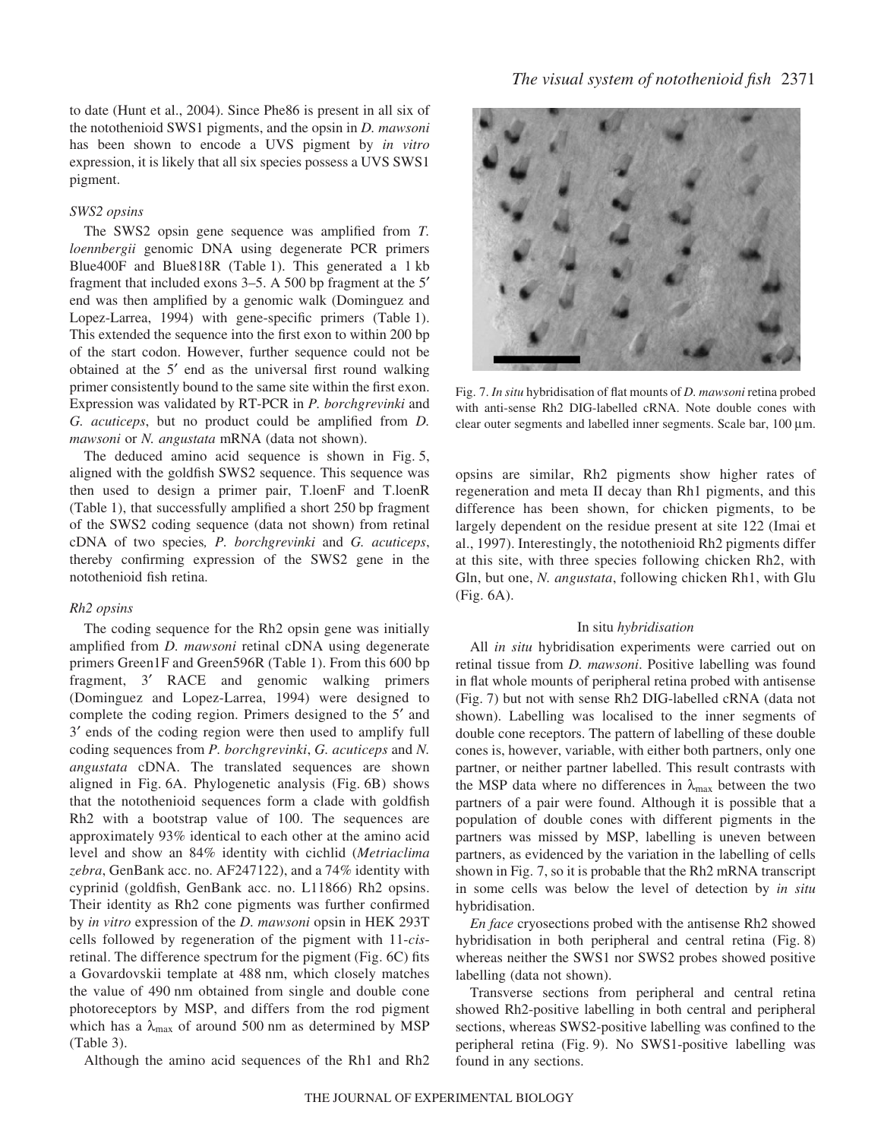to date (Hunt et al., 2004). Since Phe86 is present in all six of the notothenioid SWS1 pigments, and the opsin in *D. mawsoni* has been shown to encode a UVS pigment by *in vitro* expression, it is likely that all six species possess a UVS SWS1 pigment.

# *SWS2 opsins*

The SWS2 opsin gene sequence was amplified from *T. loennbergii* genomic DNA using degenerate PCR primers Blue400F and Blue818R (Table 1). This generated a 1 kb fragment that included exons  $3-5$ . A 500 bp fragment at the  $5'$ end was then amplified by a genomic walk (Dominguez and Lopez-Larrea, 1994) with gene-specific primers (Table 1). This extended the sequence into the first exon to within 200 bp of the start codon. However, further sequence could not be obtained at the 5′ end as the universal first round walking primer consistently bound to the same site within the first exon. Expression was validated by RT-PCR in *P. borchgrevinki* and *G. acuticeps*, but no product could be amplified from *D. mawsoni* or *N. angustata* mRNA (data not shown).

The deduced amino acid sequence is shown in Fig. 5, aligned with the goldfish SWS2 sequence. This sequence was then used to design a primer pair, T.loenF and T.loenR (Table 1), that successfully amplified a short 250 bp fragment of the SWS2 coding sequence (data not shown) from retinal cDNA of two species*, P. borchgrevinki* and *G. acuticeps*, thereby confirming expression of the SWS2 gene in the notothenioid fish retina.

#### *Rh2 opsins*

The coding sequence for the Rh2 opsin gene was initially amplified from *D. mawsoni* retinal cDNA using degenerate primers Green1F and Green596R (Table 1). From this 600 bp fragment, 3′ RACE and genomic walking primers (Dominguez and Lopez-Larrea, 1994) were designed to complete the coding region. Primers designed to the 5′ and 3′ ends of the coding region were then used to amplify full coding sequences from *P. borchgrevinki*, *G. acuticeps* and *N. angustata* cDNA. The translated sequences are shown aligned in Fig. 6A. Phylogenetic analysis (Fig. 6B) shows that the notothenioid sequences form a clade with goldfish Rh2 with a bootstrap value of 100. The sequences are approximately 93% identical to each other at the amino acid level and show an 84% identity with cichlid (*Metriaclima zebra*, GenBank acc. no. AF247122), and a 74% identity with cyprinid (goldfish, GenBank acc. no. L11866) Rh2 opsins. Their identity as Rh2 cone pigments was further confirmed by *in vitro* expression of the *D. mawsoni* opsin in HEK 293T cells followed by regeneration of the pigment with 11-*cis*retinal. The difference spectrum for the pigment (Fig. 6C) fits a Govardovskii template at 488·nm, which closely matches the value of 490 nm obtained from single and double cone photoreceptors by MSP, and differs from the rod pigment which has a  $\lambda_{\text{max}}$  of around 500 nm as determined by MSP  $(Table 3)$ .

Although the amino acid sequences of the Rh1 and Rh2



Fig. 7. *In situ* hybridisation of flat mounts of *D. mawsoni* retina probed with anti-sense Rh2 DIG-labelled cRNA. Note double cones with clear outer segments and labelled inner segments. Scale bar, 100  $\mu$ m.

opsins are similar, Rh2 pigments show higher rates of regeneration and meta II decay than Rh1 pigments, and this difference has been shown, for chicken pigments, to be largely dependent on the residue present at site 122 (Imai et al., 1997). Interestingly, the notothenioid Rh2 pigments differ at this site, with three species following chicken Rh2, with Gln, but one, *N. angustata*, following chicken Rh1, with Glu  $(Fig. 6A)$ .

# In situ *hybridisation*

All *in situ* hybridisation experiments were carried out on retinal tissue from *D. mawsoni*. Positive labelling was found in flat whole mounts of peripheral retina probed with antisense (Fig. 7) but not with sense Rh2 DIG-labelled cRNA (data not shown). Labelling was localised to the inner segments of double cone receptors. The pattern of labelling of these double cones is, however, variable, with either both partners, only one partner, or neither partner labelled. This result contrasts with the MSP data where no differences in  $\lambda_{\text{max}}$  between the two partners of a pair were found. Although it is possible that a population of double cones with different pigments in the partners was missed by MSP, labelling is uneven between partners, as evidenced by the variation in the labelling of cells shown in Fig. 7, so it is probable that the Rh2 mRNA transcript in some cells was below the level of detection by *in situ* hybridisation.

*En face* cryosections probed with the antisense Rh2 showed hybridisation in both peripheral and central retina (Fig. 8) whereas neither the SWS1 nor SWS2 probes showed positive labelling (data not shown).

Transverse sections from peripheral and central retina showed Rh2-positive labelling in both central and peripheral sections, whereas SWS2-positive labelling was confined to the peripheral retina (Fig. 9). No SWS1-positive labelling was found in any sections.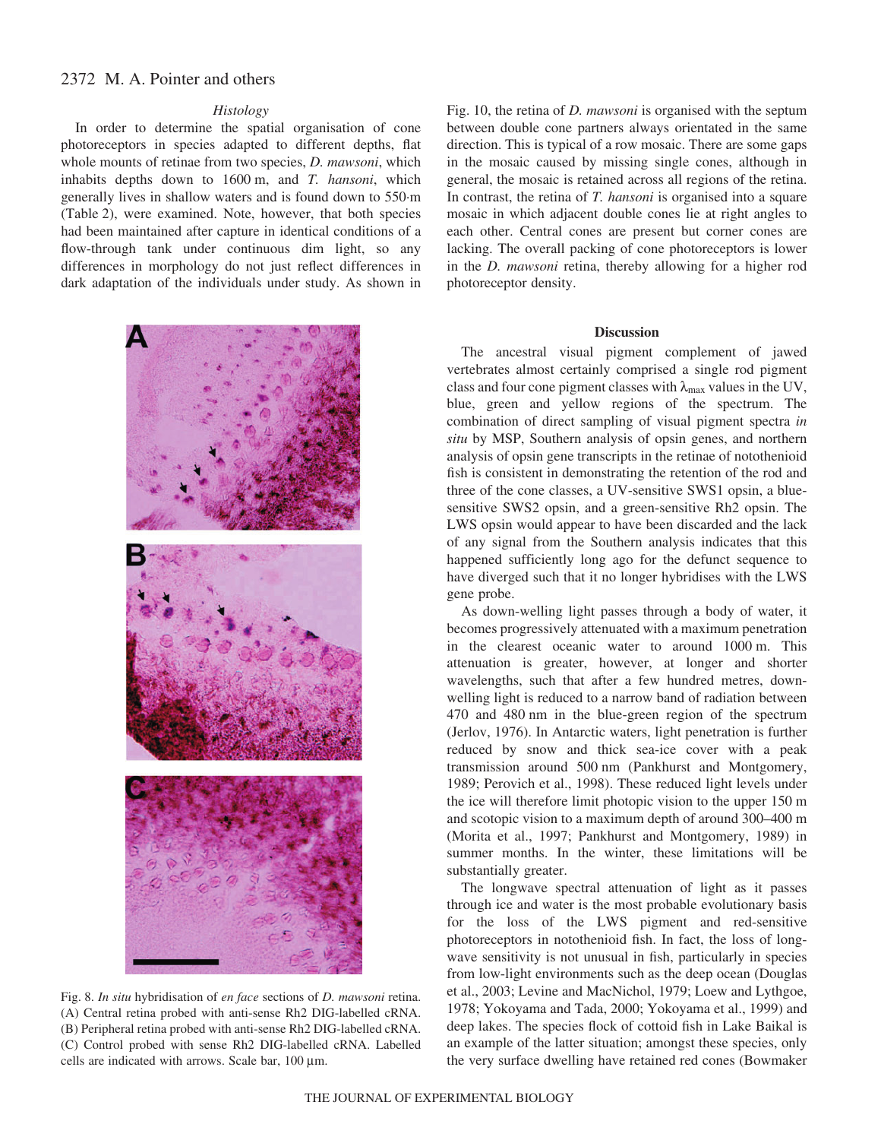#### *Histology*

In order to determine the spatial organisation of cone photoreceptors in species adapted to different depths, flat whole mounts of retinae from two species, *D. mawsoni*, which inhabits depths down to 1600 m, and *T. hansoni*, which generally lives in shallow waters and is found down to 550·m (Table 2), were examined. Note, however, that both species had been maintained after capture in identical conditions of a flow-through tank under continuous dim light, so any differences in morphology do not just reflect differences in dark adaptation of the individuals under study. As shown in



Fig. 8. *In situ* hybridisation of *en face* sections of *D. mawsoni* retina. (A) Central retina probed with anti-sense Rh2 DIG-labelled cRNA. (B) Peripheral retina probed with anti-sense Rh2 DIG-labelled cRNA. (C) Control probed with sense Rh2 DIG-labelled cRNA. Labelled cells are indicated with arrows. Scale bar,  $100 \mu m$ .

Fig. 10, the retina of *D. mawsoni* is organised with the septum between double cone partners always orientated in the same direction. This is typical of a row mosaic. There are some gaps in the mosaic caused by missing single cones, although in general, the mosaic is retained across all regions of the retina. In contrast, the retina of *T. hansoni* is organised into a square mosaic in which adjacent double cones lie at right angles to each other. Central cones are present but corner cones are lacking. The overall packing of cone photoreceptors is lower in the *D. mawsoni* retina, thereby allowing for a higher rod photoreceptor density.

#### **Discussion**

The ancestral visual pigment complement of jawed vertebrates almost certainly comprised a single rod pigment class and four cone pigment classes with  $\lambda_{\text{max}}$  values in the UV, blue, green and yellow regions of the spectrum. The combination of direct sampling of visual pigment spectra *in situ* by MSP, Southern analysis of opsin genes, and northern analysis of opsin gene transcripts in the retinae of notothenioid fish is consistent in demonstrating the retention of the rod and three of the cone classes, a UV-sensitive SWS1 opsin, a bluesensitive SWS2 opsin, and a green-sensitive Rh2 opsin. The LWS opsin would appear to have been discarded and the lack of any signal from the Southern analysis indicates that this happened sufficiently long ago for the defunct sequence to have diverged such that it no longer hybridises with the LWS gene probe.

As down-welling light passes through a body of water, it becomes progressively attenuated with a maximum penetration in the clearest oceanic water to around 1000 m. This attenuation is greater, however, at longer and shorter wavelengths, such that after a few hundred metres, downwelling light is reduced to a narrow band of radiation between 470 and 480 nm in the blue-green region of the spectrum (Jerlov, 1976). In Antarctic waters, light penetration is further reduced by snow and thick sea-ice cover with a peak transmission around 500 nm (Pankhurst and Montgomery, 1989; Perovich et al., 1998). These reduced light levels under the ice will therefore limit photopic vision to the upper 150 m and scotopic vision to a maximum depth of around 300–400 m (Morita et al., 1997; Pankhurst and Montgomery, 1989) in summer months. In the winter, these limitations will be substantially greater.

The longwave spectral attenuation of light as it passes through ice and water is the most probable evolutionary basis for the loss of the LWS pigment and red-sensitive photoreceptors in notothenioid fish. In fact, the loss of longwave sensitivity is not unusual in fish, particularly in species from low-light environments such as the deep ocean (Douglas et al., 2003; Levine and MacNichol, 1979; Loew and Lythgoe, 1978; Yokoyama and Tada, 2000; Yokoyama et al., 1999) and deep lakes. The species flock of cottoid fish in Lake Baikal is an example of the latter situation; amongst these species, only the very surface dwelling have retained red cones (Bowmaker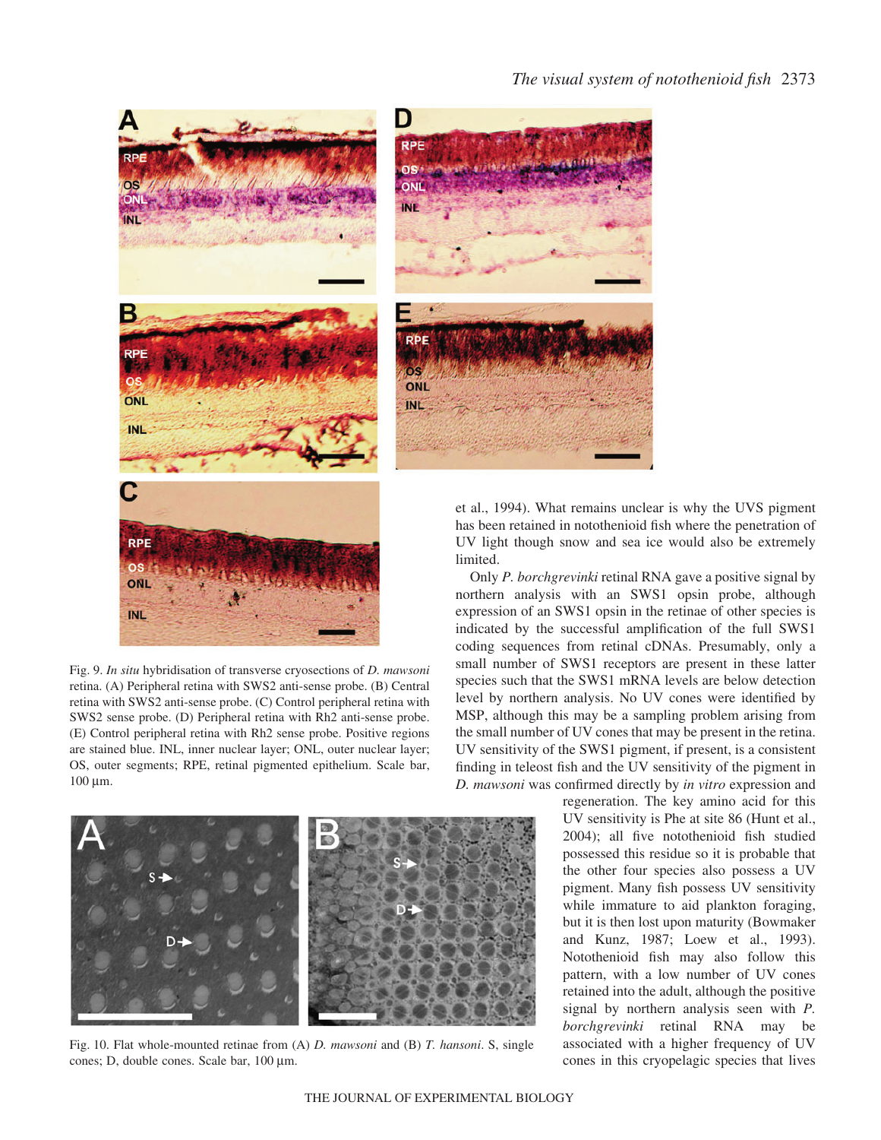



Fig. 9. *In situ* hybridisation of transverse cryosections of *D. mawsoni* retina. (A) Peripheral retina with SWS2 anti-sense probe. (B) Central retina with SWS2 anti-sense probe. (C) Control peripheral retina with SWS2 sense probe. (D) Peripheral retina with Rh2 anti-sense probe. (E) Control peripheral retina with Rh2 sense probe. Positive regions are stained blue. INL, inner nuclear layer; ONL, outer nuclear layer; OS, outer segments; RPE, retinal pigmented epithelium. Scale bar,  $100 \mu m$ .



Fig. 10. Flat whole-mounted retinae from (A) *D. mawsoni* and (B) *T. hansoni*. S, single cones; D, double cones. Scale bar,  $100 \mu m$ .

et al., 1994). What remains unclear is why the UVS pigment has been retained in notothenioid fish where the penetration of UV light though snow and sea ice would also be extremely

Only *P. borchgrevinki* retinal RNA gave a positive signal by northern analysis with an SWS1 opsin probe, although expression of an SWS1 opsin in the retinae of other species is indicated by the successful amplification of the full SWS1 coding sequences from retinal cDNAs. Presumably, only a small number of SWS1 receptors are present in these latter species such that the SWS1 mRNA levels are below detection level by northern analysis. No UV cones were identified by MSP, although this may be a sampling problem arising from the small number of UV cones that may be present in the retina. UV sensitivity of the SWS1 pigment, if present, is a consistent finding in teleost fish and the UV sensitivity of the pigment in *D. mawsoni* was confirmed directly by *in vitro* expression and

> regeneration. The key amino acid for this UV sensitivity is Phe at site 86 (Hunt et al., 2004); all five notothenioid fish studied possessed this residue so it is probable that the other four species also possess a UV pigment. Many fish possess UV sensitivity while immature to aid plankton foraging, but it is then lost upon maturity (Bowmaker and Kunz, 1987; Loew et al., 1993). Notothenioid fish may also follow this pattern, with a low number of UV cones retained into the adult, although the positive signal by northern analysis seen with *P. borchgrevinki* retinal RNA may be associated with a higher frequency of UV cones in this cryopelagic species that lives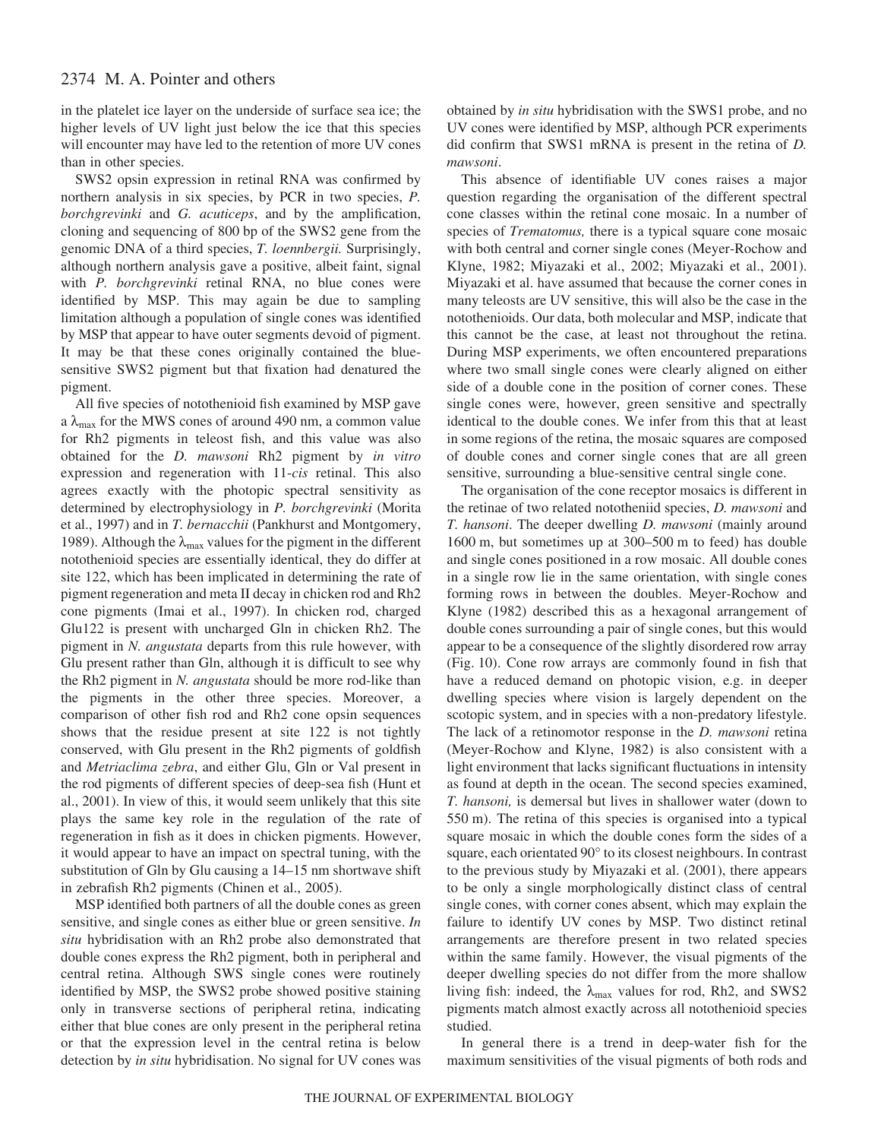in the platelet ice layer on the underside of surface sea ice; the higher levels of UV light just below the ice that this species will encounter may have led to the retention of more UV cones than in other species.

SWS2 opsin expression in retinal RNA was confirmed by northern analysis in six species, by PCR in two species, *P. borchgrevinki* and *G. acuticeps*, and by the amplification, cloning and sequencing of 800 bp of the SWS2 gene from the genomic DNA of a third species, *T. loennbergii.* Surprisingly, although northern analysis gave a positive, albeit faint, signal with *P. borchgrevinki* retinal RNA, no blue cones were identified by MSP. This may again be due to sampling limitation although a population of single cones was identified by MSP that appear to have outer segments devoid of pigment. It may be that these cones originally contained the bluesensitive SWS2 pigment but that fixation had denatured the pigment.

All five species of notothenioid fish examined by MSP gave a  $\lambda_{\text{max}}$  for the MWS cones of around 490 nm, a common value for Rh2 pigments in teleost fish, and this value was also obtained for the *D. mawsoni* Rh2 pigment by *in vitro* expression and regeneration with 11-*cis* retinal. This also agrees exactly with the photopic spectral sensitivity as determined by electrophysiology in *P. borchgrevinki* (Morita et al., 1997) and in *T. bernacchii* (Pankhurst and Montgomery, 1989). Although the  $\lambda_{\text{max}}$  values for the pigment in the different notothenioid species are essentially identical, they do differ at site 122, which has been implicated in determining the rate of pigment regeneration and meta II decay in chicken rod and Rh2 cone pigments (Imai et al., 1997). In chicken rod, charged Glu122 is present with uncharged Gln in chicken Rh2. The pigment in *N. angustata* departs from this rule however, with Glu present rather than Gln, although it is difficult to see why the Rh2 pigment in *N. angustata* should be more rod-like than the pigments in the other three species. Moreover, a comparison of other fish rod and Rh2 cone opsin sequences shows that the residue present at site 122 is not tightly conserved, with Glu present in the Rh2 pigments of goldfish and *Metriaclima zebra*, and either Glu, Gln or Val present in the rod pigments of different species of deep-sea fish (Hunt et al., 2001). In view of this, it would seem unlikely that this site plays the same key role in the regulation of the rate of regeneration in fish as it does in chicken pigments. However, it would appear to have an impact on spectral tuning, with the substitution of Gln by Glu causing a 14–15 nm shortwave shift in zebrafish Rh2 pigments (Chinen et al., 2005).

MSP identified both partners of all the double cones as green sensitive, and single cones as either blue or green sensitive. *In situ* hybridisation with an Rh2 probe also demonstrated that double cones express the Rh2 pigment, both in peripheral and central retina. Although SWS single cones were routinely identified by MSP, the SWS2 probe showed positive staining only in transverse sections of peripheral retina, indicating either that blue cones are only present in the peripheral retina or that the expression level in the central retina is below detection by *in situ* hybridisation. No signal for UV cones was

obtained by *in situ* hybridisation with the SWS1 probe, and no UV cones were identified by MSP, although PCR experiments did confirm that SWS1 mRNA is present in the retina of *D. mawsoni*.

This absence of identifiable UV cones raises a major question regarding the organisation of the different spectral cone classes within the retinal cone mosaic. In a number of species of *Trematomus,* there is a typical square cone mosaic with both central and corner single cones (Meyer-Rochow and Klyne, 1982; Miyazaki et al., 2002; Miyazaki et al., 2001). Miyazaki et al. have assumed that because the corner cones in many teleosts are UV sensitive, this will also be the case in the notothenioids. Our data, both molecular and MSP, indicate that this cannot be the case, at least not throughout the retina. During MSP experiments, we often encountered preparations where two small single cones were clearly aligned on either side of a double cone in the position of corner cones. These single cones were, however, green sensitive and spectrally identical to the double cones. We infer from this that at least in some regions of the retina, the mosaic squares are composed of double cones and corner single cones that are all green sensitive, surrounding a blue-sensitive central single cone.

The organisation of the cone receptor mosaics is different in the retinae of two related nototheniid species, *D. mawsoni* and *T. hansoni*. The deeper dwelling *D. mawsoni* (mainly around 1600 m, but sometimes up at  $300-500$  m to feed) has double and single cones positioned in a row mosaic. All double cones in a single row lie in the same orientation, with single cones forming rows in between the doubles. Meyer-Rochow and Klyne (1982) described this as a hexagonal arrangement of double cones surrounding a pair of single cones, but this would appear to be a consequence of the slightly disordered row array (Fig. 10). Cone row arrays are commonly found in fish that have a reduced demand on photopic vision, e.g. in deeper dwelling species where vision is largely dependent on the scotopic system, and in species with a non-predatory lifestyle. The lack of a retinomotor response in the *D. mawsoni* retina (Meyer-Rochow and Klyne, 1982) is also consistent with a light environment that lacks significant fluctuations in intensity as found at depth in the ocean. The second species examined, *T. hansoni,* is demersal but lives in shallower water (down to 550 m). The retina of this species is organised into a typical square mosaic in which the double cones form the sides of a square, each orientated 90° to its closest neighbours. In contrast to the previous study by Miyazaki et al. (2001), there appears to be only a single morphologically distinct class of central single cones, with corner cones absent, which may explain the failure to identify UV cones by MSP. Two distinct retinal arrangements are therefore present in two related species within the same family. However, the visual pigments of the deeper dwelling species do not differ from the more shallow living fish: indeed, the  $\lambda_{\text{max}}$  values for rod, Rh2, and SWS2 pigments match almost exactly across all notothenioid species studied.

In general there is a trend in deep-water fish for the maximum sensitivities of the visual pigments of both rods and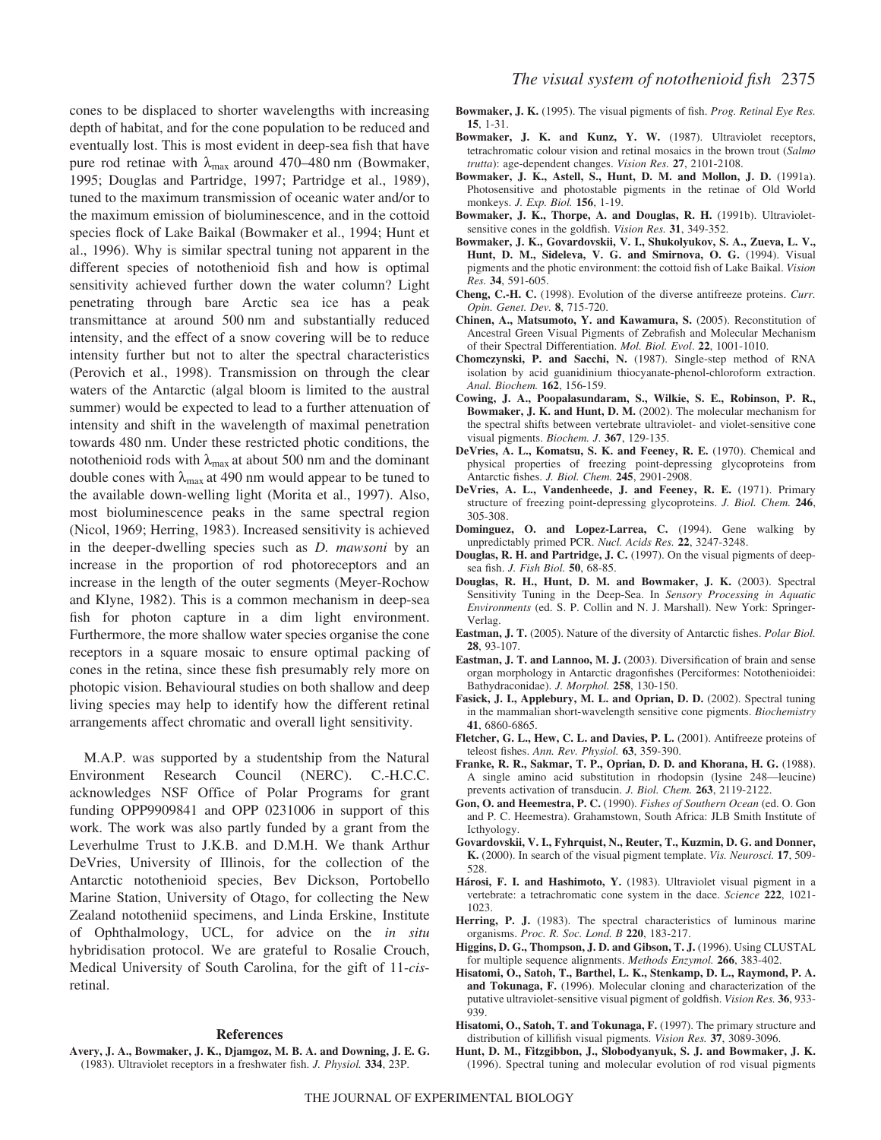cones to be displaced to shorter wavelengths with increasing depth of habitat, and for the cone population to be reduced and eventually lost. This is most evident in deep-sea fish that have pure rod retinae with  $\lambda_{\text{max}}$  around 470–480 nm (Bowmaker, 1995; Douglas and Partridge, 1997; Partridge et al., 1989), tuned to the maximum transmission of oceanic water and/or to the maximum emission of bioluminescence, and in the cottoid species flock of Lake Baikal (Bowmaker et al., 1994; Hunt et al., 1996). Why is similar spectral tuning not apparent in the different species of notothenioid fish and how is optimal sensitivity achieved further down the water column? Light penetrating through bare Arctic sea ice has a peak transmittance at around 500 nm and substantially reduced intensity, and the effect of a snow covering will be to reduce intensity further but not to alter the spectral characteristics (Perovich et al., 1998). Transmission on through the clear waters of the Antarctic (algal bloom is limited to the austral summer) would be expected to lead to a further attenuation of intensity and shift in the wavelength of maximal penetration towards 480 nm. Under these restricted photic conditions, the notothenioid rods with  $\lambda_{\text{max}}$  at about 500 nm and the dominant double cones with  $\lambda_{\text{max}}$  at 490 nm would appear to be tuned to the available down-welling light (Morita et al., 1997). Also, most bioluminescence peaks in the same spectral region (Nicol, 1969; Herring, 1983). Increased sensitivity is achieved in the deeper-dwelling species such as *D. mawsoni* by an increase in the proportion of rod photoreceptors and an increase in the length of the outer segments (Meyer-Rochow and Klyne, 1982). This is a common mechanism in deep-sea fish for photon capture in a dim light environment. Furthermore, the more shallow water species organise the cone receptors in a square mosaic to ensure optimal packing of cones in the retina, since these fish presumably rely more on photopic vision. Behavioural studies on both shallow and deep living species may help to identify how the different retinal arrangements affect chromatic and overall light sensitivity.

M.A.P. was supported by a studentship from the Natural Environment Research Council (NERC). C.-H.C.C. acknowledges NSF Office of Polar Programs for grant funding OPP9909841 and OPP 0231006 in support of this work. The work was also partly funded by a grant from the Leverhulme Trust to J.K.B. and D.M.H. We thank Arthur DeVries, University of Illinois, for the collection of the Antarctic notothenioid species, Bev Dickson, Portobello Marine Station, University of Otago, for collecting the New Zealand nototheniid specimens, and Linda Erskine, Institute of Ophthalmology, UCL, for advice on the *in situ* hybridisation protocol. We are grateful to Rosalie Crouch, Medical University of South Carolina, for the gift of 11-*cis*retinal.

#### **References**

**Avery, J. A., Bowmaker, J. K., Djamgoz, M. B. A. and Downing, J. E. G.** (1983). Ultraviolet receptors in a freshwater fish. *J. Physiol.* **334**, 23P.

- **Bowmaker, J. K.** (1995). The visual pigments of fish. *Prog. Retinal Eye Res.* **15**, 1-31.
- **Bowmaker, J. K. and Kunz, Y. W.** (1987). Ultraviolet receptors, tetrachromatic colour vision and retinal mosaics in the brown trout (*Salmo trutta*): age-dependent changes. *Vision Res.* **27**, 2101-2108.
- **Bowmaker, J. K., Astell, S., Hunt, D. M. and Mollon, J. D.** (1991a). Photosensitive and photostable pigments in the retinae of Old World monkeys. *J. Exp. Biol.* **156**, 1-19.
- **Bowmaker, J. K., Thorpe, A. and Douglas, R. H.** (1991b). Ultravioletsensitive cones in the goldfish. *Vision Res.* **31**, 349-352.
- **Bowmaker, J. K., Govardovskii, V. I., Shukolyukov, S. A., Zueva, L. V., Hunt, D. M., Sideleva, V. G. and Smirnova, O. G.** (1994). Visual pigments and the photic environment: the cottoid fish of Lake Baikal. *Vision Res.* **34**, 591-605.
- **Cheng, C.-H. C.** (1998). Evolution of the diverse antifreeze proteins. *Curr. Opin. Genet. Dev.* **8**, 715-720.
- **Chinen, A., Matsumoto, Y. and Kawamura, S.** (2005). Reconstitution of Ancestral Green Visual Pigments of Zebrafish and Molecular Mechanism of their Spectral Differentiation. *Mol. Biol. Evol*. **22**, 1001-1010.
- **Chomczynski, P. and Sacchi, N.** (1987). Single-step method of RNA isolation by acid guanidinium thiocyanate-phenol-chloroform extraction. *Anal. Biochem.* **162**, 156-159.
- **Cowing, J. A., Poopalasundaram, S., Wilkie, S. E., Robinson, P. R., Bowmaker, J. K. and Hunt, D. M.** (2002). The molecular mechanism for the spectral shifts between vertebrate ultraviolet- and violet-sensitive cone visual pigments. *Biochem. J*. **367**, 129-135.
- **DeVries, A. L., Komatsu, S. K. and Feeney, R. E.** (1970). Chemical and physical properties of freezing point-depressing glycoproteins from Antarctic fishes. *J. Biol. Chem.* **245**, 2901-2908.
- **DeVries, A. L., Vandenheede, J. and Feeney, R. E.** (1971). Primary structure of freezing point-depressing glycoproteins. *J. Biol. Chem.* **246**, 305-308.
- **Dominguez, O. and Lopez-Larrea, C.** (1994). Gene walking by unpredictably primed PCR. *Nucl. Acids Res.* **22**, 3247-3248.
- **Douglas, R. H. and Partridge, J. C.** (1997). On the visual pigments of deepsea fish. *J. Fish Biol.* **50**, 68-85.
- **Douglas, R. H., Hunt, D. M. and Bowmaker, J. K.** (2003). Spectral Sensitivity Tuning in the Deep-Sea. In *Sensory Processing in Aquatic Environments* (ed. S. P. Collin and N. J. Marshall). New York: Springer-Verlag.
- **Eastman, J. T.** (2005). Nature of the diversity of Antarctic fishes. *Polar Biol.* **28**, 93-107.
- **Eastman, J. T. and Lannoo, M. J.** (2003). Diversification of brain and sense organ morphology in Antarctic dragonfishes (Perciformes: Notothenioidei: Bathydraconidae). *J. Morphol.* **258**, 130-150.
- **Fasick, J. I., Applebury, M. L. and Oprian, D. D.** (2002). Spectral tuning in the mammalian short-wavelength sensitive cone pigments. *Biochemistry* **41**, 6860-6865.
- **Fletcher, G. L., Hew, C. L. and Davies, P. L.** (2001). Antifreeze proteins of teleost fishes. *Ann. Rev. Physiol.* **63**, 359-390.
- **Franke, R. R., Sakmar, T. P., Oprian, D. D. and Khorana, H. G.** (1988). A single amino acid substitution in rhodopsin (lysine 248––leucine) prevents activation of transducin. *J. Biol. Chem.* **263**, 2119-2122.
- **Gon, O. and Heemestra, P. C.** (1990). *Fishes of Southern Ocean* (ed. O. Gon and P. C. Heemestra). Grahamstown, South Africa: JLB Smith Institute of Icthyology.
- **Govardovskii, V. I., Fyhrquist, N., Reuter, T., Kuzmin, D. G. and Donner, K.** (2000). In search of the visual pigment template. *Vis. Neurosci.* **17**, 509- 528.
- **Hárosi, F. I. and Hashimoto, Y.** (1983). Ultraviolet visual pigment in a vertebrate: a tetrachromatic cone system in the dace. *Science* **222**, 1021- 1023.
- **Herring, P. J.** (1983). The spectral characteristics of luminous marine organisms. *Proc. R. Soc. Lond. B* **220**, 183-217.
- **Higgins, D. G., Thompson, J. D. and Gibson, T. J.** (1996). Using CLUSTAL for multiple sequence alignments. *Methods Enzymol.* **266**, 383-402.
- **Hisatomi, O., Satoh, T., Barthel, L. K., Stenkamp, D. L., Raymond, P. A. and Tokunaga, F.** (1996). Molecular cloning and characterization of the putative ultraviolet-sensitive visual pigment of goldfish. *Vision Res.* **36**, 933- 939.
- **Hisatomi, O., Satoh, T. and Tokunaga, F.** (1997). The primary structure and distribution of killifish visual pigments. *Vision Res.* **37**, 3089-3096.
- **Hunt, D. M., Fitzgibbon, J., Slobodyanyuk, S. J. and Bowmaker, J. K.** (1996). Spectral tuning and molecular evolution of rod visual pigments